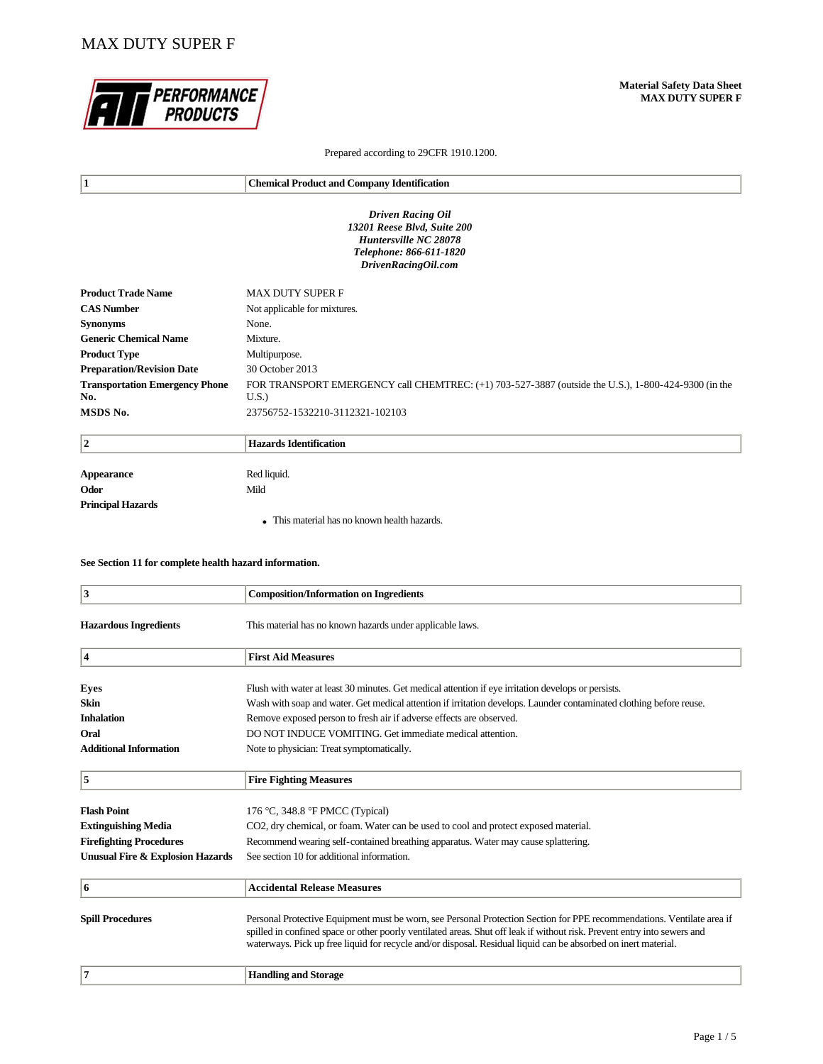# MAX DUTY SUPER F



### Prepared according to 29CFR 1910.1200.

| 1                                     | <b>Chemical Product and Company Identification</b>                                                  |
|---------------------------------------|-----------------------------------------------------------------------------------------------------|
|                                       |                                                                                                     |
|                                       | <b>Driven Racing Oil</b>                                                                            |
|                                       | 13201 Reese Blvd, Suite 200<br>Huntersville NC 28078                                                |
|                                       | Telephone: 866-611-1820                                                                             |
|                                       | DrivenRacingOil.com                                                                                 |
|                                       |                                                                                                     |
| <b>Product Trade Name</b>             | <b>MAX DUTY SUPER F</b>                                                                             |
| <b>CAS Number</b>                     | Not applicable for mixtures.                                                                        |
| <b>Synonyms</b>                       | None.                                                                                               |
| <b>Generic Chemical Name</b>          | Mixture.                                                                                            |
| <b>Product Type</b>                   | Multipurpose.                                                                                       |
| <b>Preparation/Revision Date</b>      | 30 October 2013                                                                                     |
| <b>Transportation Emergency Phone</b> | FOR TRANSPORT EMERGENCY call CHEMTREC: (+1) 703-527-3887 (outside the U.S.), 1-800-424-9300 (in the |
| No.                                   | U.S.                                                                                                |
| MSDS No.                              | 23756752-1532210-3112321-102103                                                                     |
| $\mathbf{2}$                          | <b>Hazards Identification</b>                                                                       |
| <b>Appearance</b>                     | Red liquid.                                                                                         |
|                                       |                                                                                                     |

| Appearance        | Red liquid.                                  |
|-------------------|----------------------------------------------|
| Odor              | Mild                                         |
| Principal Hazards |                                              |
|                   | • This material has no known health hazards. |

### **See Section 11 for complete health hazard information.**

| $\overline{\mathbf{3}}$                     | <b>Composition/Information on Ingredients</b>                                                                                                                                                                                                                                                                                                                        |
|---------------------------------------------|----------------------------------------------------------------------------------------------------------------------------------------------------------------------------------------------------------------------------------------------------------------------------------------------------------------------------------------------------------------------|
| <b>Hazardous Ingredients</b>                | This material has no known hazards under applicable laws.                                                                                                                                                                                                                                                                                                            |
| 4                                           | <b>First Aid Measures</b>                                                                                                                                                                                                                                                                                                                                            |
| <b>Eyes</b>                                 | Flush with water at least 30 minutes. Get medical attention if eye irritation develops or persists.                                                                                                                                                                                                                                                                  |
| <b>Skin</b>                                 | Wash with soap and water. Get medical attention if irritation develops. Launder contaminated clothing before reuse.                                                                                                                                                                                                                                                  |
| <b>Inhalation</b>                           | Remove exposed person to fresh air if adverse effects are observed.                                                                                                                                                                                                                                                                                                  |
| Oral                                        | DO NOT INDUCE VOMITING. Get immediate medical attention.                                                                                                                                                                                                                                                                                                             |
| <b>Additional Information</b>               | Note to physician: Treat symptomatically.                                                                                                                                                                                                                                                                                                                            |
| 5                                           | <b>Fire Fighting Measures</b>                                                                                                                                                                                                                                                                                                                                        |
| <b>Flash Point</b>                          | 176 °C, 348.8 °F PMCC (Typical)                                                                                                                                                                                                                                                                                                                                      |
| <b>Extinguishing Media</b>                  | CO2, dry chemical, or foam. Water can be used to cool and protect exposed material.                                                                                                                                                                                                                                                                                  |
| <b>Firefighting Procedures</b>              | Recommend wearing self-contained breathing apparatus. Water may cause splattering.                                                                                                                                                                                                                                                                                   |
| <b>Unusual Fire &amp; Explosion Hazards</b> | See section 10 for additional information.                                                                                                                                                                                                                                                                                                                           |
| 6                                           | <b>Accidental Release Measures</b>                                                                                                                                                                                                                                                                                                                                   |
| <b>Spill Procedures</b>                     | Personal Protective Equipment must be worn, see Personal Protection Section for PPE recommendations. Ventilate area if<br>spilled in confined space or other poorly ventilated areas. Shut off leak if without risk. Prevent entry into sewers and<br>waterways. Pick up free liquid for recycle and/or disposal. Residual liquid can be absorbed on inert material. |
| $\overline{7}$                              | <b>Handling and Storage</b>                                                                                                                                                                                                                                                                                                                                          |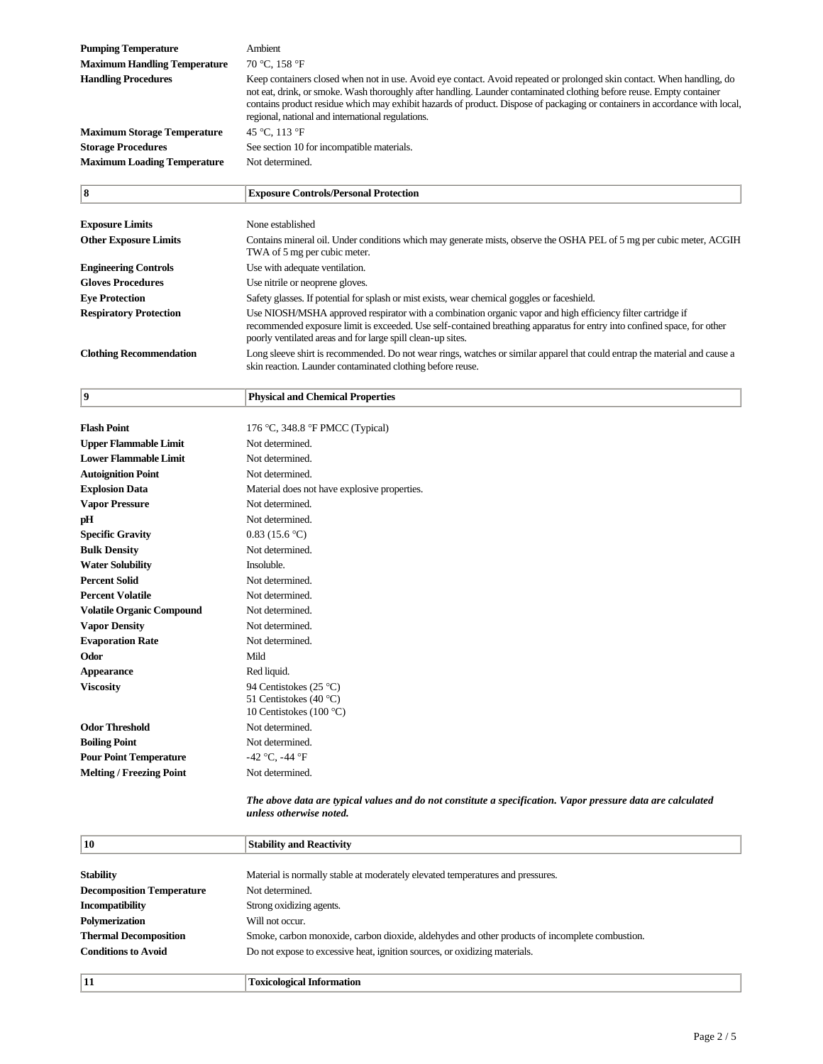| <b>Pumping Temperature</b><br><b>Maximum Handling Temperature</b> | Ambient<br>70 °C, 158 °F                                                                                                                                                                                                                                                                                                                                                                                                            |
|-------------------------------------------------------------------|-------------------------------------------------------------------------------------------------------------------------------------------------------------------------------------------------------------------------------------------------------------------------------------------------------------------------------------------------------------------------------------------------------------------------------------|
| <b>Handling Procedures</b>                                        | Keep containers closed when not in use. Avoid eye contact. Avoid repeated or prolonged skin contact. When handling, do<br>not eat, drink, or smoke. Wash thoroughly after handling. Launder contaminated clothing before reuse. Empty container<br>contains product residue which may exhibit hazards of product. Dispose of packaging or containers in accordance with local,<br>regional, national and international regulations. |
| <b>Maximum Storage Temperature</b>                                | 45 °C, 113 °F                                                                                                                                                                                                                                                                                                                                                                                                                       |
| <b>Storage Procedures</b>                                         | See section 10 for incompatible materials.                                                                                                                                                                                                                                                                                                                                                                                          |
| <b>Maximum Loading Temperature</b>                                | Not determined.                                                                                                                                                                                                                                                                                                                                                                                                                     |
| 8                                                                 | <b>Exposure Controls/Personal Protection</b>                                                                                                                                                                                                                                                                                                                                                                                        |

| <b>Exposure Limits</b>         | None established                                                                                                                                                                                                                                                                                      |
|--------------------------------|-------------------------------------------------------------------------------------------------------------------------------------------------------------------------------------------------------------------------------------------------------------------------------------------------------|
| <b>Other Exposure Limits</b>   | Contains mineral oil. Under conditions which may generate mists, observe the OSHA PEL of 5 mg per cubic meter, ACGIH<br>TWA of 5 mg per cubic meter.                                                                                                                                                  |
| <b>Engineering Controls</b>    | Use with adequate ventilation.                                                                                                                                                                                                                                                                        |
| <b>Gloves Procedures</b>       | Use nitrile or neoprene gloves.                                                                                                                                                                                                                                                                       |
| <b>Eve Protection</b>          | Safety glasses. If potential for splash or mist exists, wear chemical goggles or faceshield.                                                                                                                                                                                                          |
| <b>Respiratory Protection</b>  | Use NIOSH/MSHA approved respirator with a combination organic vapor and high efficiency filter cartridge if<br>recommended exposure limit is exceeded. Use self-contained breathing apparatus for entry into confined space, for other<br>poorly ventilated areas and for large spill clean-up sites. |
| <b>Clothing Recommendation</b> | Long sleeve shirt is recommended. Do not wear rings, watches or similar apparel that could entrap the material and cause a<br>skin reaction. Launder contaminated clothing before reuse.                                                                                                              |

| 9                                | <b>Physical and Chemical Properties</b>      |
|----------------------------------|----------------------------------------------|
|                                  |                                              |
| <b>Flash Point</b>               | 176 °C, 348.8 °F PMCC (Typical)              |
| <b>Upper Flammable Limit</b>     | Not determined.                              |
| <b>Lower Flammable Limit</b>     | Not determined.                              |
| <b>Autoignition Point</b>        | Not determined.                              |
| <b>Explosion Data</b>            | Material does not have explosive properties. |
| <b>Vapor Pressure</b>            | Not determined.                              |
| pH                               | Not determined.                              |
| <b>Specific Gravity</b>          | 0.83(15.6 °C)                                |
| <b>Bulk Density</b>              | Not determined.                              |
| <b>Water Solubility</b>          | Insoluble.                                   |
| <b>Percent Solid</b>             | Not determined.                              |
| <b>Percent Volatile</b>          | Not determined.                              |
| <b>Volatile Organic Compound</b> | Not determined.                              |
| <b>Vapor Density</b>             | Not determined.                              |
| <b>Evaporation Rate</b>          | Not determined.                              |
| Odor                             | Mild                                         |
| <b>Appearance</b>                | Red liquid.                                  |
| <b>Viscosity</b>                 | 94 Centistokes (25 °C)                       |
|                                  | 51 Centistokes (40 °C)                       |
|                                  | 10 Centistokes (100 $\degree$ C)             |
| <b>Odor Threshold</b>            | Not determined.                              |
| <b>Boiling Point</b>             | Not determined.                              |
| <b>Pour Point Temperature</b>    | $-42$ °C, $-44$ °F                           |
| <b>Melting / Freezing Point</b>  | Not determined.                              |

#### *The above data are typical values and do not constitute a specification. Vapor pressure data are calculated unless otherwise noted.*

| 10                               | <b>Stability and Reactivity</b>                                                                |
|----------------------------------|------------------------------------------------------------------------------------------------|
|                                  |                                                                                                |
| <b>Stability</b>                 | Material is normally stable at moderately elevated temperatures and pressures.                 |
| <b>Decomposition Temperature</b> | Not determined.                                                                                |
| <b>Incompatibility</b>           | Strong oxidizing agents.                                                                       |
| <b>Polymerization</b>            | Will not occur.                                                                                |
| <b>Thermal Decomposition</b>     | Smoke, carbon monoxide, carbon dioxide, aldehydes and other products of incomplete combustion. |
| <b>Conditions to Avoid</b>       | Do not expose to excessive heat, ignition sources, or oxidizing materials.                     |
| 11                               | <b>Toxicological Information</b>                                                               |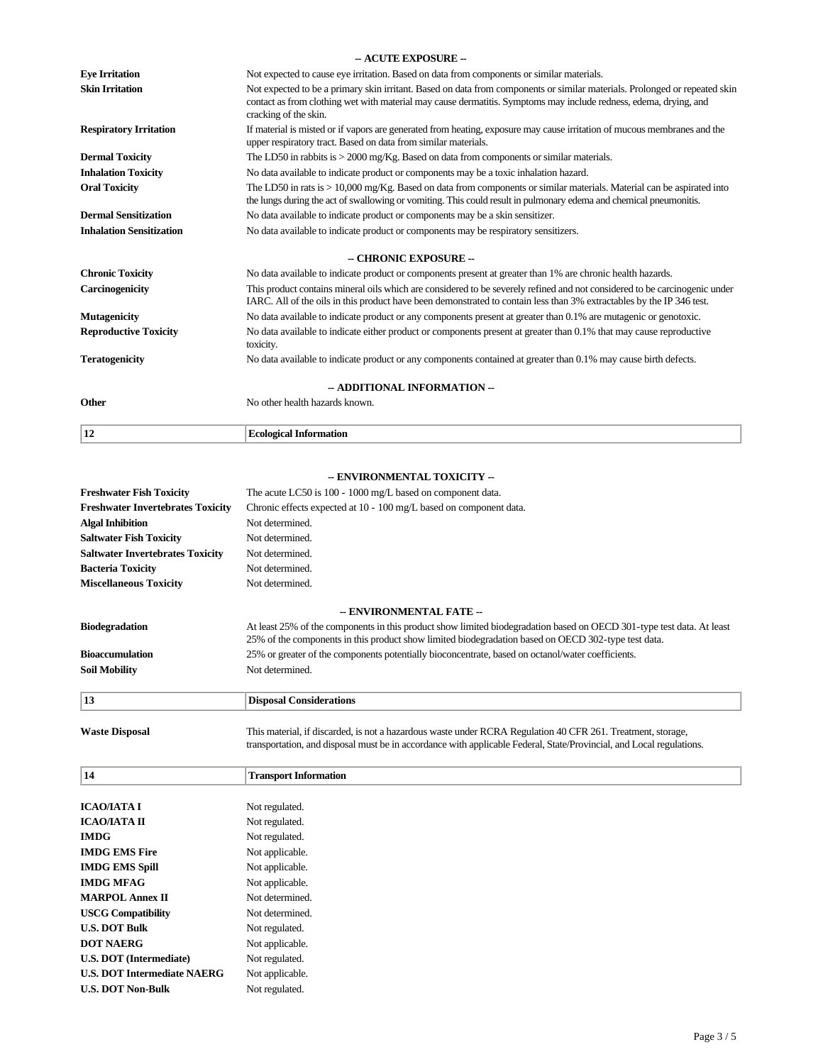|                                 | - ACUTE EXPOSURE --                                                                                                                                                                                                                                                      |
|---------------------------------|--------------------------------------------------------------------------------------------------------------------------------------------------------------------------------------------------------------------------------------------------------------------------|
| <b>Eve Irritation</b>           | Not expected to cause eye irritation. Based on data from components or similar materials.                                                                                                                                                                                |
| <b>Skin Irritation</b>          | Not expected to be a primary skin irritant. Based on data from components or similar materials. Prolonged or repeated skin<br>contact as from clothing wet with material may cause dermatitis. Symptoms may include redness, edema, drying, and<br>cracking of the skin. |
| <b>Respiratory Irritation</b>   | If material is misted or if vapors are generated from heating, exposure may cause irritation of mucous membranes and the<br>upper respiratory tract. Based on data from similar materials.                                                                               |
| <b>Dermal Toxicity</b>          | The LD50 in rabbits is $> 2000$ mg/Kg. Based on data from components or similar materials.                                                                                                                                                                               |
| <b>Inhalation Toxicity</b>      | No data available to indicate product or components may be a toxic inhalation hazard.                                                                                                                                                                                    |
| <b>Oral Toxicity</b>            | The LD50 in rats is > 10,000 mg/Kg. Based on data from components or similar materials. Material can be aspirated into<br>the lungs during the act of swallowing or vomiting. This could result in pulmonary edema and chemical pneumonitis.                             |
| <b>Dermal Sensitization</b>     | No data available to indicate product or components may be a skin sensitizer.                                                                                                                                                                                            |
| <b>Inhalation Sensitization</b> | No data available to indicate product or components may be respiratory sensitizers.                                                                                                                                                                                      |
|                                 | - CHRONIC EXPOSURE --                                                                                                                                                                                                                                                    |
| <b>Chronic Toxicity</b>         | No data available to indicate product or components present at greater than 1% are chronic health hazards.                                                                                                                                                               |
| Carcinogenicity                 | This product contains mineral oils which are considered to be severely refined and not considered to be carcinogenic under<br>IARC. All of the oils in this product have been demonstrated to contain less than 3% extractables by the IP 346 test.                      |
| Mutagenicity                    | No data available to indicate product or any components present at greater than 0.1% are mutagenic or genotoxic.                                                                                                                                                         |
| <b>Reproductive Toxicity</b>    | No data available to indicate either product or components present at greater than 0.1% that may cause reproductive<br>toxicity.                                                                                                                                         |
| <b>Teratogenicity</b>           | No data available to indicate product or any components contained at greater than 0.1% may cause birth defects.                                                                                                                                                          |
| -- ADDITIONAL INFORMATION --    |                                                                                                                                                                                                                                                                          |
| Other                           | No other health hazards known.                                                                                                                                                                                                                                           |
| 12                              | <b>Ecological Information</b>                                                                                                                                                                                                                                            |

## **-- ENVIRONMENTAL TOXICITY --**

| <b>Freshwater Fish Toxicity</b>          | The acute LC50 is 100 - 1000 mg/L based on component data.                                                                                                                                                                   |
|------------------------------------------|------------------------------------------------------------------------------------------------------------------------------------------------------------------------------------------------------------------------------|
| <b>Freshwater Invertebrates Toxicity</b> | Chronic effects expected at 10 - 100 mg/L based on component data.                                                                                                                                                           |
| <b>Algal Inhibition</b>                  | Not determined.                                                                                                                                                                                                              |
| <b>Saltwater Fish Toxicity</b>           | Not determined.                                                                                                                                                                                                              |
| <b>Saltwater Invertebrates Toxicity</b>  | Not determined.                                                                                                                                                                                                              |
| <b>Bacteria Toxicity</b>                 | Not determined.                                                                                                                                                                                                              |
| <b>Miscellaneous Toxicity</b>            | Not determined.                                                                                                                                                                                                              |
|                                          |                                                                                                                                                                                                                              |
|                                          | -- ENVIRONMENTAL FATE --                                                                                                                                                                                                     |
| <b>Biodegradation</b>                    | At least 25% of the components in this product show limited biodegradation based on OECD 301-type test data. At least<br>25% of the components in this product show limited biodegradation based on OECD 302-type test data. |
| <b>Bioaccumulation</b>                   | 25% or greater of the components potentially bioconcentrate, based on octanol/water coefficients.                                                                                                                            |
| <b>Soil Mobility</b>                     | Not determined.                                                                                                                                                                                                              |
|                                          |                                                                                                                                                                                                                              |
| 13                                       | <b>Disposal Considerations</b>                                                                                                                                                                                               |

**Waste Disposal** This material, if discarded, is not a hazardous waste under RCRA Regulation 40 CFR 261. Treatment, storage, transportation, and disposal must be in accordance with applicable Federal, State/Provincial, and Local regulations.

| 14                                 | <b>Transport Information</b> |
|------------------------------------|------------------------------|
|                                    |                              |
| <b>ICAO/IATA I</b>                 | Not regulated.               |
| ІСАОЛАТА П                         | Not regulated.               |
| <b>IMDG</b>                        | Not regulated.               |
| <b>IMDG EMS Fire</b>               | Not applicable.              |
| <b>IMDG EMS Spill</b>              | Not applicable.              |
| <b>IMDG MFAG</b>                   | Not applicable.              |
| <b>MARPOL Annex II</b>             | Not determined.              |
| <b>USCG Compatibility</b>          | Not determined.              |
| <b>U.S. DOT Bulk</b>               | Not regulated.               |
| <b>DOT NAERG</b>                   | Not applicable.              |
| <b>U.S. DOT</b> (Intermediate)     | Not regulated.               |
| <b>U.S. DOT Intermediate NAERG</b> | Not applicable.              |
| <b>U.S. DOT Non-Bulk</b>           | Not regulated.               |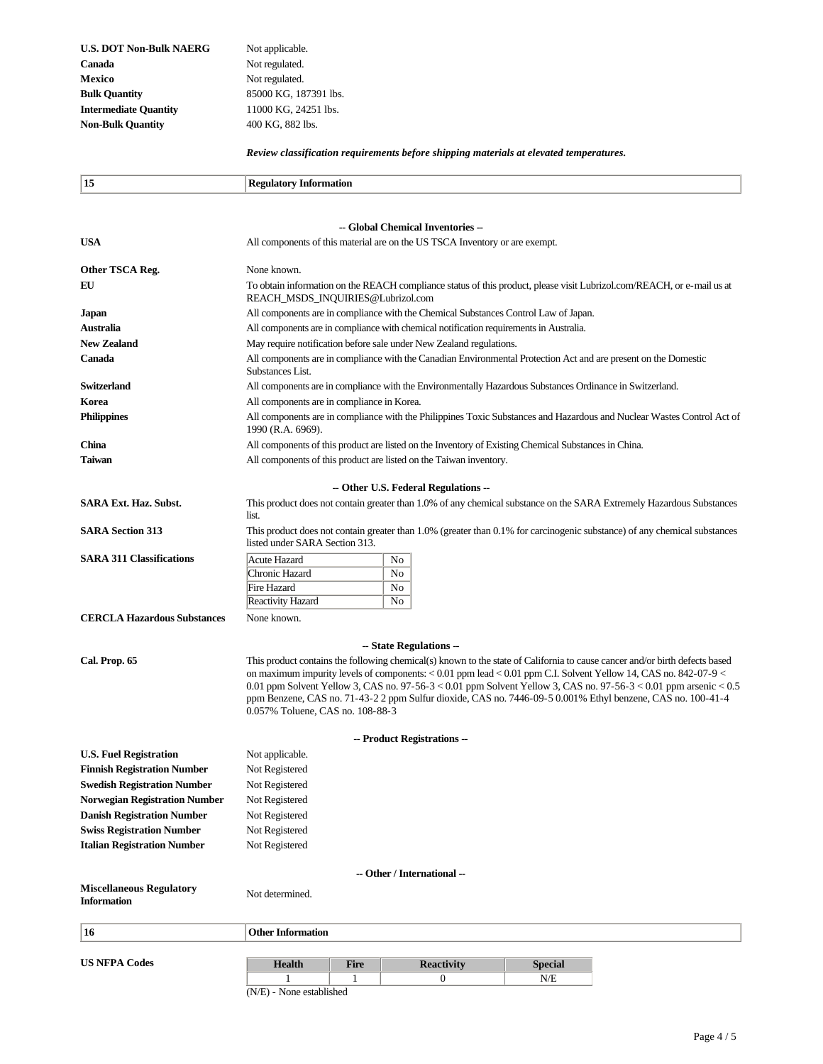| <b>U.S. DOT Non-Bulk NAERG</b> |
|--------------------------------|
| Canada                         |
| Mexico                         |
| <b>Bulk Quantity</b>           |
| <b>Intermediate Quantity</b>   |
| <b>Non-Bulk Quantity</b>       |

Not applicable. Not regulated. Not regulated. **Bulk Quantity** 85000 KG, 187391 lbs. **Intermediate Quantity** 11000 KG, 24251 lbs. 400 KG, 882 lbs.

*Review classification requirements before shipping materials at elevated temperatures.*

| 15                                                                     |                                                                                                                                                                                                                                           |
|------------------------------------------------------------------------|-------------------------------------------------------------------------------------------------------------------------------------------------------------------------------------------------------------------------------------------|
|                                                                        | <b>Regulatory Information</b>                                                                                                                                                                                                             |
|                                                                        |                                                                                                                                                                                                                                           |
|                                                                        | -- Global Chemical Inventories --                                                                                                                                                                                                         |
| <b>USA</b>                                                             | All components of this material are on the US TSCA Inventory or are exempt.                                                                                                                                                               |
|                                                                        |                                                                                                                                                                                                                                           |
| Other TSCA Reg.<br>EU                                                  | None known.                                                                                                                                                                                                                               |
|                                                                        | To obtain information on the REACH compliance status of this product, please visit Lubrizol.com/REACH, or e-mail us at<br>REACH_MSDS_INQUIRIES@Lubrizol.com                                                                               |
| Japan                                                                  | All components are in compliance with the Chemical Substances Control Law of Japan.                                                                                                                                                       |
| Australia                                                              | All components are in compliance with chemical notification requirements in Australia.                                                                                                                                                    |
| <b>New Zealand</b>                                                     | May require notification before sale under New Zealand regulations.                                                                                                                                                                       |
| Canada                                                                 | All components are in compliance with the Canadian Environmental Protection Act and are present on the Domestic<br>Substances List.                                                                                                       |
| <b>Switzerland</b>                                                     | All components are in compliance with the Environmentally Hazardous Substances Ordinance in Switzerland.                                                                                                                                  |
| Korea                                                                  | All components are in compliance in Korea.                                                                                                                                                                                                |
| <b>Philippines</b>                                                     | All components are in compliance with the Philippines Toxic Substances and Hazardous and Nuclear Wastes Control Act of<br>1990 (R.A. 6969).                                                                                               |
| China                                                                  | All components of this product are listed on the Inventory of Existing Chemical Substances in China.                                                                                                                                      |
| Taiwan                                                                 | All components of this product are listed on the Taiwan inventory.                                                                                                                                                                        |
|                                                                        |                                                                                                                                                                                                                                           |
| <b>SARA Ext. Haz. Subst.</b>                                           | - Other U.S. Federal Regulations --<br>This product does not contain greater than 1.0% of any chemical substance on the SARA Extremely Hazardous Substances                                                                               |
|                                                                        | list.                                                                                                                                                                                                                                     |
| <b>SARA Section 313</b>                                                | This product does not contain greater than 1.0% (greater than 0.1% for carcinogenic substance) of any chemical substances<br>listed under SARA Section 313.                                                                               |
| <b>SARA 311 Classifications</b>                                        | <b>Acute Hazard</b><br>No                                                                                                                                                                                                                 |
|                                                                        | No<br>Chronic Hazard                                                                                                                                                                                                                      |
|                                                                        | Fire Hazard<br>No                                                                                                                                                                                                                         |
|                                                                        | Reactivity Hazard<br>No                                                                                                                                                                                                                   |
| <b>CERCLA Hazardous Substances</b>                                     | None known.                                                                                                                                                                                                                               |
|                                                                        | -- State Regulations --                                                                                                                                                                                                                   |
| Cal. Prop. 65                                                          | This product contains the following chemical(s) known to the state of California to cause cancer and/or birth defects based                                                                                                               |
|                                                                        | on maximum impurity levels of components: $< 0.01$ ppm lead $< 0.01$ ppm C.I. Solvent Yellow 14, CAS no. 842-07-9 $<$<br>0.01 ppm Solvent Yellow 3, CAS no. 97-56-3 < 0.01 ppm Solvent Yellow 3, CAS no. 97-56-3 < 0.01 ppm arsenic < 0.5 |
|                                                                        | ppm Benzene, CAS no. 71-43-2 2 ppm Sulfur dioxide, CAS no. 7446-09-5 0.001% Ethyl benzene, CAS no. 100-41-4<br>0.057% Toluene, CAS no. 108-88-3                                                                                           |
|                                                                        |                                                                                                                                                                                                                                           |
|                                                                        | -- Product Registrations --                                                                                                                                                                                                               |
| <b>U.S. Fuel Registration</b>                                          | Not applicable.                                                                                                                                                                                                                           |
| <b>Finnish Registration Number</b>                                     | Not Registered                                                                                                                                                                                                                            |
| <b>Swedish Registration Number</b>                                     | Not Registered                                                                                                                                                                                                                            |
| <b>Norwegian Registration Number</b>                                   | Not Registered                                                                                                                                                                                                                            |
| <b>Danish Registration Number</b>                                      | Not Registered                                                                                                                                                                                                                            |
| <b>Swiss Registration Number</b><br><b>Italian Registration Number</b> | Not Registered<br>Not Registered                                                                                                                                                                                                          |
|                                                                        |                                                                                                                                                                                                                                           |
|                                                                        | -- Other / International --                                                                                                                                                                                                               |
| <b>Miscellaneous Regulatory</b>                                        | Not determined.                                                                                                                                                                                                                           |
| <b>Information</b>                                                     |                                                                                                                                                                                                                                           |
|                                                                        |                                                                                                                                                                                                                                           |
| 16                                                                     | <b>Other Information</b>                                                                                                                                                                                                                  |
| <b>US NFPA Codes</b>                                                   |                                                                                                                                                                                                                                           |
|                                                                        | <b>Health</b><br><b>Reactivity</b><br><b>Fire</b><br><b>Special</b><br>N/E<br>1<br>1<br>0                                                                                                                                                 |
|                                                                        | (N/E) - None established                                                                                                                                                                                                                  |